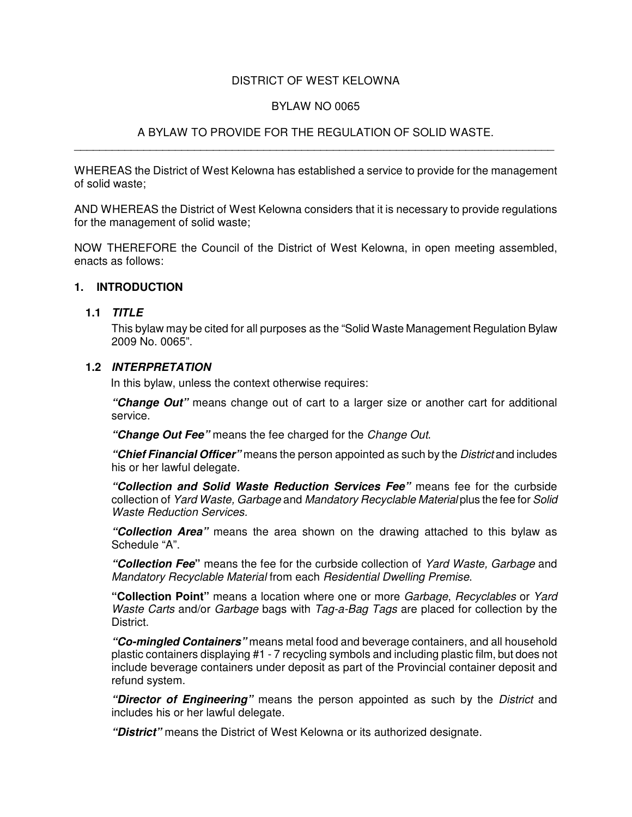### DISTRICT OF WEST KELOWNA

#### BYLAW NO 0065

#### A BYLAW TO PROVIDE FOR THE REGULATION OF SOLID WASTE. \_\_\_\_\_\_\_\_\_\_\_\_\_\_\_\_\_\_\_\_\_\_\_\_\_\_\_\_\_\_\_\_\_\_\_\_\_\_\_\_\_\_\_\_\_\_\_\_\_\_\_\_\_\_\_\_\_\_\_\_\_\_\_\_\_\_\_\_\_\_\_\_\_\_\_\_

WHEREAS the District of West Kelowna has established a service to provide for the management of solid waste;

AND WHEREAS the District of West Kelowna considers that it is necessary to provide regulations for the management of solid waste;

NOW THEREFORE the Council of the District of West Kelowna, in open meeting assembled, enacts as follows:

#### **1. INTRODUCTION**

#### **1.1** *TITLE*

This bylaw may be cited for all purposes as the "Solid Waste Management Regulation Bylaw 2009 No. 0065".

#### **1.2** *INTERPRETATION*

In this bylaw, unless the context otherwise requires:

*"Change Out"* means change out of cart to a larger size or another cart for additional service.

*"Change Out Fee"* means the fee charged for the *Change Out*.

*"Chief Financial Officer"* means the person appointed as such by the *District* and includes his or her lawful delegate.

*"Collection and Solid Waste Reduction Services Fee"* means fee for the curbside collection of *Yard Waste, Garbage* and *Mandatory Recyclable Material* plus the fee for *Solid Waste Reduction Services.*

*"Collection Area"* means the area shown on the drawing attached to this bylaw as Schedule "A".

*"Collection Fee***"** means the fee for the curbside collection of *Yard Waste, Garbage* and *Mandatory Recyclable Material* from each *Residential Dwelling Premise*.

**"Collection Point"** means a location where one or more *Garbage*, *Recyclables* or *Yard Waste Carts* and/or *Garbage* bags with *Tag-a-Bag Tags* are placed for collection by the District.

*"Co-mingled Containers"* means metal food and beverage containers, and all household plastic containers displaying #1 - 7 recycling symbols and including plastic film, but does not include beverage containers under deposit as part of the Provincial container deposit and refund system.

*"Director of Engineering"* means the person appointed as such by the *District* and includes his or her lawful delegate.

*"District"* means the District of West Kelowna or its authorized designate.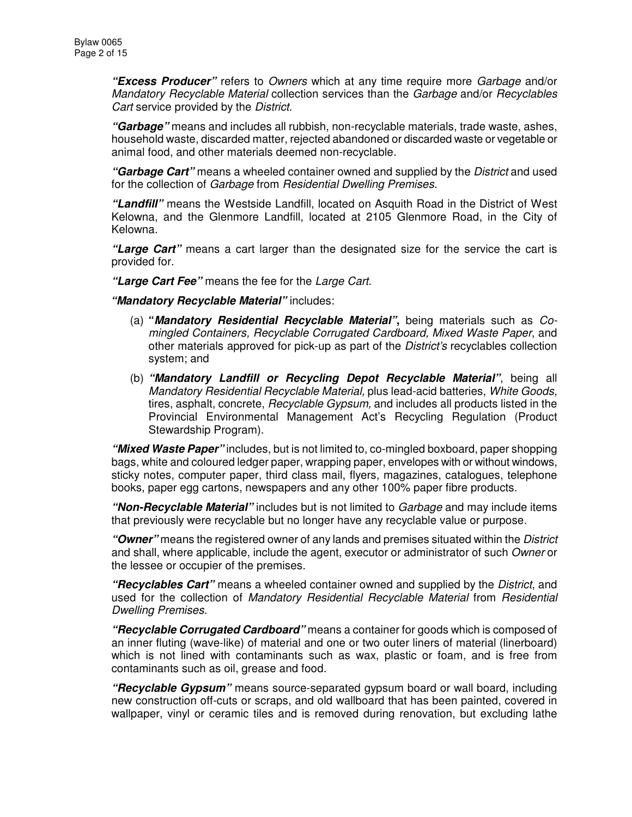*"Excess Producer"* refers to *Owners* which at any time require more *Garbage* and/or *Mandatory Recyclable Material* collection services than the *Garbage* and/or *Recyclables Cart* service provided by the *District.*

*"Garbage"* means and includes all rubbish, non-recyclable materials, trade waste, ashes, household waste, discarded matter, rejected abandoned or discarded waste or vegetable or animal food, and other materials deemed non-recyclable.

*"Garbage Cart"* means a wheeled container owned and supplied by the *District* and used for the collection of *Garbage* from *Residential Dwelling Premises*.

*"Landfill"* means the Westside Landfill, located on Asquith Road in the District of West Kelowna, and the Glenmore Landfill, located at 2105 Glenmore Road, in the City of Kelowna.

*"Large Cart"* means a cart larger than the designated size for the service the cart is provided for.

*"Large Cart Fee"* means the fee for the *Large Cart*.

*"Mandatory Recyclable Material"* includes:

- (a) **"***Mandatory Residential Recyclable Material"***,** being materials such as *Comingled Containers, Recyclable Corrugated Cardboard, Mixed Waste Paper*, and other materials approved for pick-up as part of the *District's* recyclables collection system; and
- (b) *"Mandatory Landfill or Recycling Depot Recyclable Material"*, being all *Mandatory Residential Recyclable Material,* plus lead-acid batteries, *White Goods,* tires, asphalt, concrete, *Recyclable Gypsum,* and includes all products listed in the Provincial Environmental Management Act's Recycling Regulation (Product Stewardship Program).

*"Mixed Waste Paper"* includes, but is not limited to, co-mingled boxboard, paper shopping bags, white and coloured ledger paper, wrapping paper, envelopes with or without windows, sticky notes, computer paper, third class mail, flyers, magazines, catalogues, telephone books, paper egg cartons, newspapers and any other 100% paper fibre products.

*"Non-Recyclable Material"* includes but is not limited to *Garbage* and may include items that previously were recyclable but no longer have any recyclable value or purpose.

*"Owner"* means the registered owner of any lands and premises situated within the *District* and shall, where applicable, include the agent, executor or administrator of such *Owner* or the lessee or occupier of the premises.

*"Recyclables Cart"* means a wheeled container owned and supplied by the *District*, and used for the collection of *Mandatory Residential Recyclable Material* from *Residential Dwelling Premises*.

*"Recyclable Corrugated Cardboard"* means a container for goods which is composed of an inner fluting (wave-like) of material and one or two outer liners of material (linerboard) which is not lined with contaminants such as wax, plastic or foam, and is free from contaminants such as oil, grease and food.

*"Recyclable Gypsum"* means source-separated gypsum board or wall board, including new construction off-cuts or scraps, and old wallboard that has been painted, covered in wallpaper, vinyl or ceramic tiles and is removed during renovation, but excluding lathe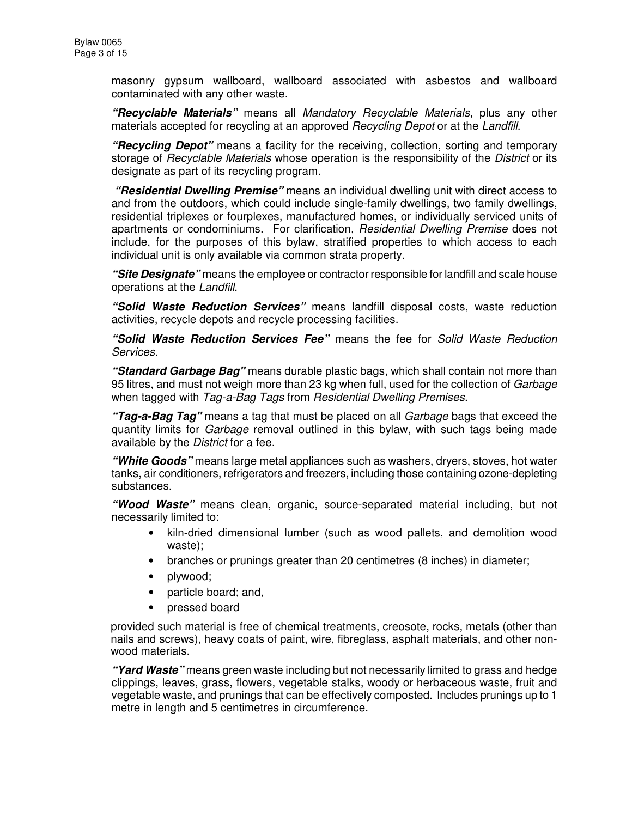masonry gypsum wallboard, wallboard associated with asbestos and wallboard contaminated with any other waste.

*"Recyclable Materials"* means all *Mandatory Recyclable Materials*, plus any other materials accepted for recycling at an approved *Recycling Depot* or at the *Landfill*.

*"Recycling Depot"* means a facility for the receiving, collection, sorting and temporary storage of *Recyclable Materials* whose operation is the responsibility of the *District* or its designate as part of its recycling program.

*"Residential Dwelling Premise"* means an individual dwelling unit with direct access to and from the outdoors, which could include single-family dwellings, two family dwellings, residential triplexes or fourplexes, manufactured homes, or individually serviced units of apartments or condominiums. For clarification, *Residential Dwelling Premise* does not include, for the purposes of this bylaw, stratified properties to which access to each individual unit is only available via common strata property.

*"Site Designate"* means the employee or contractor responsible for landfill and scale house operations at the *Landfill*.

*"Solid Waste Reduction Services"* means landfill disposal costs, waste reduction activities, recycle depots and recycle processing facilities.

*"Solid Waste Reduction Services Fee"* means the fee for *Solid Waste Reduction Services.*

*"Standard Garbage Bag"* means durable plastic bags, which shall contain not more than 95 litres, and must not weigh more than 23 kg when full, used for the collection of *Garbage* when tagged with *Tag-a-Bag Tags* from *Residential Dwelling Premises*.

*"Tag-a-Bag Tag"* means a tag that must be placed on all *Garbage* bags that exceed the quantity limits for *Garbage* removal outlined in this bylaw, with such tags being made available by the *District* for a fee.

*"White Goods"* means large metal appliances such as washers, dryers, stoves, hot water tanks, air conditioners, refrigerators and freezers, including those containing ozone-depleting substances.

*"Wood Waste"* means clean, organic, source-separated material including, but not necessarily limited to:

- kiln-dried dimensional lumber (such as wood pallets, and demolition wood waste);
- branches or prunings greater than 20 centimetres (8 inches) in diameter;
- plywood;
- particle board; and,
- pressed board

provided such material is free of chemical treatments, creosote, rocks, metals (other than nails and screws), heavy coats of paint, wire, fibreglass, asphalt materials, and other nonwood materials.

*"Yard Waste"* means green waste including but not necessarily limited to grass and hedge clippings, leaves, grass, flowers, vegetable stalks, woody or herbaceous waste, fruit and vegetable waste, and prunings that can be effectively composted. Includes prunings up to 1 metre in length and 5 centimetres in circumference.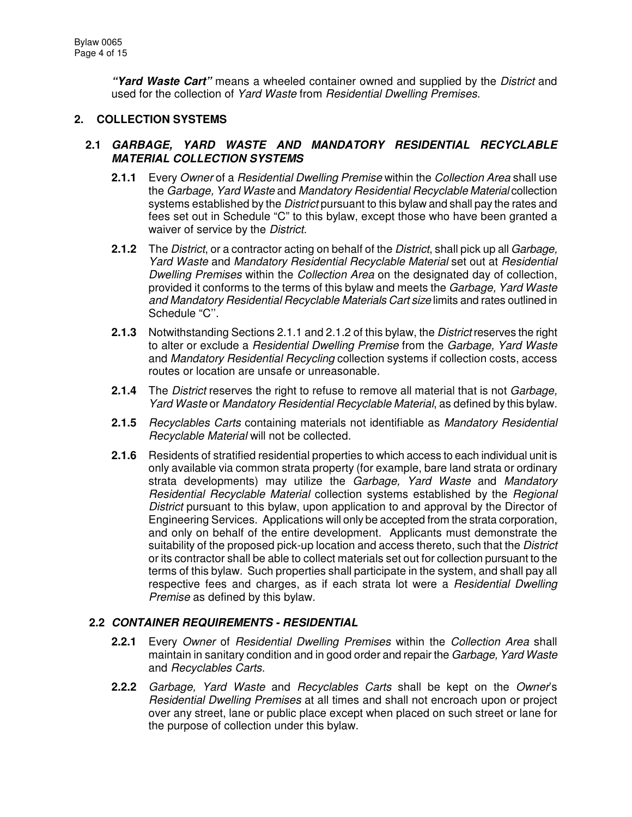*"Yard Waste Cart"* means a wheeled container owned and supplied by the *District* and used for the collection of *Yard Waste* from *Residential Dwelling Premises*.

### **2. COLLECTION SYSTEMS**

### **2.1** *GARBAGE, YARD WASTE AND MANDATORY RESIDENTIAL RECYCLABLE MATERIAL COLLECTION SYSTEMS*

- **2.1.1** Every *Owner* of a *Residential Dwelling Premise* within the *Collection Area* shall use the *Garbage, Yard Waste* and *Mandatory Residential Recyclable Material* collection systems established by the *District* pursuant to this bylaw and shall pay the rates and fees set out in Schedule "C" to this bylaw, except those who have been granted a waiver of service by the *District.*
- **2.1.2** The *District*, or a contractor acting on behalf of the *District*, shall pick up all *Garbage, Yard Waste* and *Mandatory Residential Recyclable Material* set out at *Residential Dwelling Premises* within the *Collection Area* on the designated day of collection, provided it conforms to the terms of this bylaw and meets the *Garbage, Yard Waste and Mandatory Residential Recyclable Materials Cart size* limits and rates outlined in Schedule "C''.
- **2.1.3** Notwithstanding Sections 2.1.1 and 2.1.2 of this bylaw, the *District* reserves the right to alter or exclude a *Residential Dwelling Premise* from the *Garbage, Yard Waste* and *Mandatory Residential Recycling* collection systems if collection costs, access routes or location are unsafe or unreasonable.
- **2.1.4** The *District* reserves the right to refuse to remove all material that is not *Garbage, Yard Waste* or *Mandatory Residential Recyclable Material*, as defined by this bylaw.
- **2.1.5** *Recyclables Carts* containing materials not identifiable as *Mandatory Residential Recyclable Material* will not be collected.
- **2.1.6** Residents of stratified residential properties to which access to each individual unit is only available via common strata property (for example, bare land strata or ordinary strata developments) may utilize the *Garbage, Yard Waste* and *Mandatory Residential Recyclable Material* collection systems established by the *Regional District* pursuant to this bylaw, upon application to and approval by the Director of Engineering Services. Applications will only be accepted from the strata corporation, and only on behalf of the entire development. Applicants must demonstrate the suitability of the proposed pick-up location and access thereto, such that the *District* or its contractor shall be able to collect materials set out for collection pursuant to the terms of this bylaw. Such properties shall participate in the system, and shall pay all respective fees and charges, as if each strata lot were a *Residential Dwelling Premise* as defined by this bylaw.

### **2.2** *CONTAINER REQUIREMENTS - RESIDENTIAL*

- **2.2.1** Every *Owner* of *Residential Dwelling Premises* within the *Collection Area* shall maintain in sanitary condition and in good order and repair the *Garbage, Yard Waste* and *Recyclables Carts.*
- **2.2.2** *Garbage, Yard Waste* and *Recyclables Carts* shall be kept on the *Owner*'s *Residential Dwelling Premises* at all times and shall not encroach upon or project over any street, lane or public place except when placed on such street or lane for the purpose of collection under this bylaw.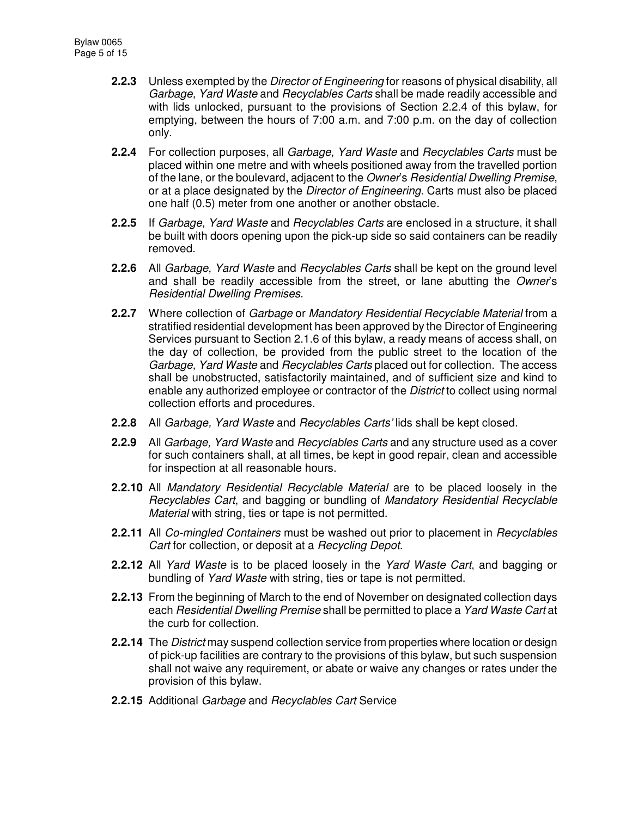- **2.2.3** Unless exempted by the *Director of Engineering* for reasons of physical disability, all *Garbage, Yard Waste* and *Recyclables Carts* shall be made readily accessible and with lids unlocked, pursuant to the provisions of Section 2.2.4 of this bylaw, for emptying, between the hours of 7:00 a.m. and 7:00 p.m. on the day of collection only.
- **2.2.4** For collection purposes, all *Garbage, Yard Waste* and *Recyclables Carts* must be placed within one metre and with wheels positioned away from the travelled portion of the lane, or the boulevard, adjacent to the *Owner*'s *Residential Dwelling Premise*, or at a place designated by the *Director of Engineering.* Carts must also be placed one half (0.5) meter from one another or another obstacle*.*
- **2.2.5** If *Garbage, Yard Waste* and *Recyclables Carts* are enclosed in a structure, it shall be built with doors opening upon the pick-up side so said containers can be readily removed.
- **2.2.6** All *Garbage, Yard Waste* and *Recyclables Carts* shall be kept on the ground level and shall be readily accessible from the street, or lane abutting the *Owner*'s *Residential Dwelling Premises*.
- **2.2.7** Where collection of *Garbage* or *Mandatory Residential Recyclable Material* from a stratified residential development has been approved by the Director of Engineering Services pursuant to Section 2.1.6 of this bylaw, a ready means of access shall, on the day of collection, be provided from the public street to the location of the *Garbage, Yard Waste* and *Recyclables Carts* placed out for collection. The access shall be unobstructed, satisfactorily maintained, and of sufficient size and kind to enable any authorized employee or contractor of the *District* to collect using normal collection efforts and procedures.
- **2.2.8** All *Garbage, Yard Waste* and *Recyclables Carts'* lids shall be kept closed.
- **2.2.9** All *Garbage, Yard Waste* and *Recyclables Carts* and any structure used as a cover for such containers shall, at all times, be kept in good repair, clean and accessible for inspection at all reasonable hours.
- **2.2.10** All *Mandatory Residential Recyclable Material* are to be placed loosely in the *Recyclables Cart*, and bagging or bundling of *Mandatory Residential Recyclable Material* with string, ties or tape is not permitted.
- **2.2.11** All *Co-mingled Containers* must be washed out prior to placement in *Recyclables Cart* for collection, or deposit at a *Recycling Depot*.
- **2.2.12** All *Yard Waste* is to be placed loosely in the *Yard Waste Cart*, and bagging or bundling of *Yard Waste* with string, ties or tape is not permitted.
- **2.2.13** From the beginning of March to the end of November on designated collection days each *Residential Dwelling Premise* shall be permitted to place a *Yard Waste Cart* at the curb for collection.
- **2.2.14** The *District* may suspend collection service from properties where location or design of pick-up facilities are contrary to the provisions of this bylaw, but such suspension shall not waive any requirement, or abate or waive any changes or rates under the provision of this bylaw.
- **2.2.15** Additional *Garbage* and *Recyclables Cart* Service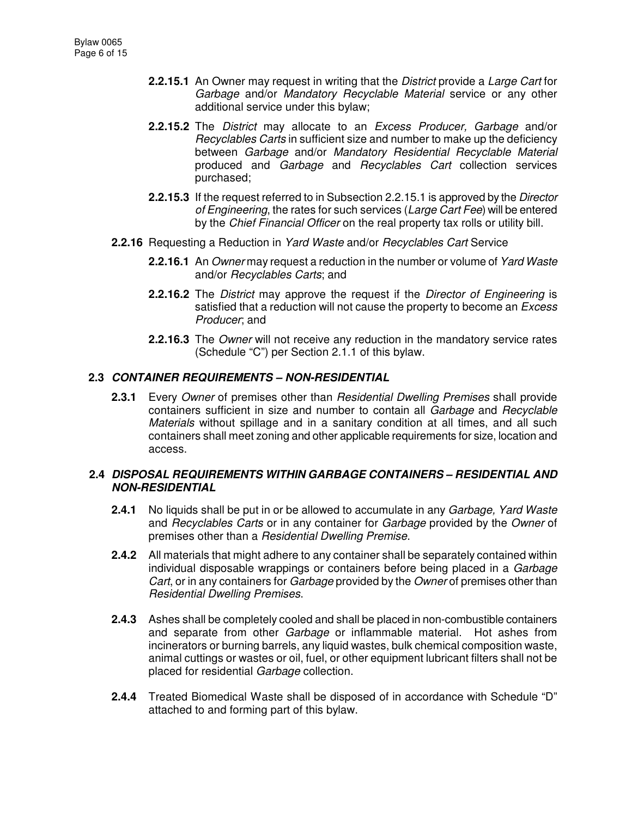- **2.2.15.1** An Owner may request in writing that the *District* provide a *Large Cart* for *Garbage* and/or *Mandatory Recyclable Material* service or any other additional service under this bylaw;
- **2.2.15.2** The *District* may allocate to an *Excess Producer, Garbage* and/or *Recyclables Carts* in sufficient size and number to make up the deficiency between *Garbage* and/or *Mandatory Residential Recyclable Material* produced and *Garbage* and *Recyclables Cart* collection services purchased;
- **2.2.15.3** If the request referred to in Subsection 2.2.15.1 is approved by the *Director of Engineering*, the rates for such services (*Large Cart Fee*) will be entered by the *Chief Financial Officer* on the real property tax rolls or utility bill.
- **2.2.16** Requesting a Reduction in *Yard Waste* and/or *Recyclables Cart* Service
	- **2.2.16.1** An *Owner* may request a reduction in the number or volume of *Yard Waste* and/or *Recyclables Carts*; and
	- **2.2.16.2** The *District* may approve the request if the *Director of Engineering* is satisfied that a reduction will not cause the property to become an *Excess Producer*; and
	- **2.2.16.3** The *Owner* will not receive any reduction in the mandatory service rates (Schedule "C") per Section 2.1.1 of this bylaw.

### **2.3** *CONTAINER REQUIREMENTS – NON-RESIDENTIAL*

**2.3.1** Every *Owner* of premises other than *Residential Dwelling Premises* shall provide containers sufficient in size and number to contain all *Garbage* and *Recyclable Materials* without spillage and in a sanitary condition at all times, and all such containers shall meet zoning and other applicable requirements for size, location and access.

### **2.4** *DISPOSAL REQUIREMENTS WITHIN GARBAGE CONTAINERS – RESIDENTIAL AND NON-RESIDENTIAL*

- **2.4.1** No liquids shall be put in or be allowed to accumulate in any *Garbage, Yard Waste* and *Recyclables Carts* or in any container for *Garbage* provided by the *Owner* of premises other than a *Residential Dwelling Premise*.
- **2.4.2** All materials that might adhere to any container shall be separately contained within individual disposable wrappings or containers before being placed in a *Garbage Cart*, or in any containers for *Garbage* provided by the *Owner* of premises other than *Residential Dwelling Premises*.
- **2.4.3** Ashes shall be completely cooled and shall be placed in non-combustible containers and separate from other *Garbage* or inflammable material. Hot ashes from incinerators or burning barrels, any liquid wastes, bulk chemical composition waste, animal cuttings or wastes or oil, fuel, or other equipment lubricant filters shall not be placed for residential *Garbage* collection.
- **2.4.4** Treated Biomedical Waste shall be disposed of in accordance with Schedule "D" attached to and forming part of this bylaw.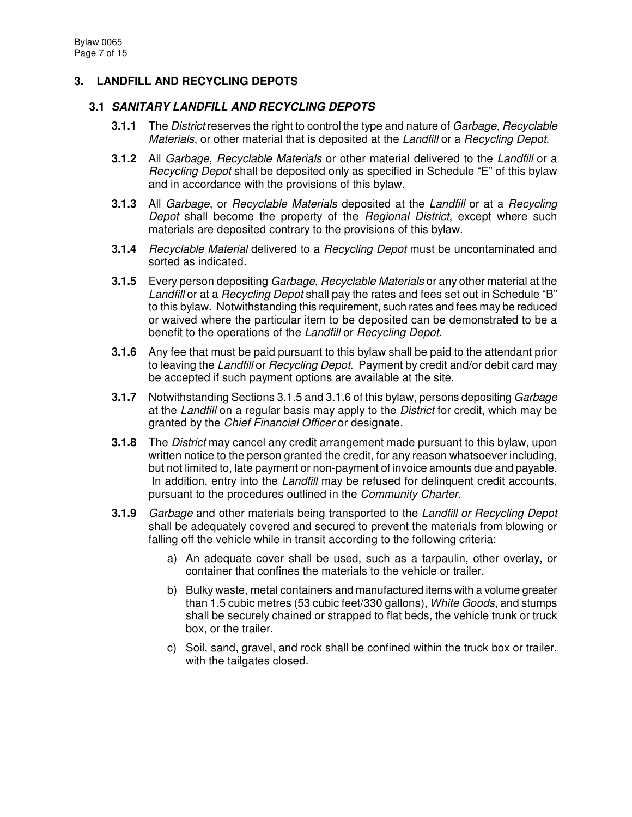# **3. LANDFILL AND RECYCLING DEPOTS**

### **3.1** *SANITARY LANDFILL AND RECYCLING DEPOTS*

- **3.1.1** The *District* reserves the right to control the type and nature of *Garbage*, *Recyclable Materials*, or other material that is deposited at the *Landfill* or a *Recycling Depot*.
- **3.1.2** All *Garbage*, *Recyclable Materials* or other material delivered to the *Landfill* or a *Recycling Depot* shall be deposited only as specified in Schedule "E" of this bylaw and in accordance with the provisions of this bylaw.
- **3.1.3** All *Garbage*, or *Recyclable Materials* deposited at the *Landfill* or at a *Recycling Depot* shall become the property of the *Regional District*, except where such materials are deposited contrary to the provisions of this bylaw.
- **3.1.4** *Recyclable Material* delivered to a *Recycling Depot* must be uncontaminated and sorted as indicated.
- **3.1.5** Every person depositing *Garbage*, *Recyclable Materials* or any other material at the *Landfill* or at a *Recycling Depot* shall pay the rates and fees set out in Schedule "B" to this bylaw. Notwithstanding this requirement, such rates and fees may be reduced or waived where the particular item to be deposited can be demonstrated to be a benefit to the operations of the *Landfill* or *Recycling Depot*.
- **3.1.6** Any fee that must be paid pursuant to this bylaw shall be paid to the attendant prior to leaving the *Landfill* or *Recycling Depot*. Payment by credit and/or debit card may be accepted if such payment options are available at the site.
- **3.1.7** Notwithstanding Sections 3.1.5 and 3.1.6 of this bylaw, persons depositing *Garbage* at the *Landfill* on a regular basis may apply to the *District* for credit, which may be granted by the *Chief Financial Officer* or designate.
- **3.1.8** The *District* may cancel any credit arrangement made pursuant to this bylaw, upon written notice to the person granted the credit, for any reason whatsoever including, but not limited to, late payment or non-payment of invoice amounts due and payable. In addition, entry into the *Landfill* may be refused for delinquent credit accounts, pursuant to the procedures outlined in the *Community Charter*.
- **3.1.9** *Garbage* and other materials being transported to the *Landfill or Recycling Depot* shall be adequately covered and secured to prevent the materials from blowing or falling off the vehicle while in transit according to the following criteria:
	- a) An adequate cover shall be used, such as a tarpaulin, other overlay, or container that confines the materials to the vehicle or trailer.
	- b) Bulky waste, metal containers and manufactured items with a volume greater than 1.5 cubic metres (53 cubic feet/330 gallons), *White Goods*, and stumps shall be securely chained or strapped to flat beds, the vehicle trunk or truck box, or the trailer.
	- c) Soil, sand, gravel, and rock shall be confined within the truck box or trailer, with the tailgates closed.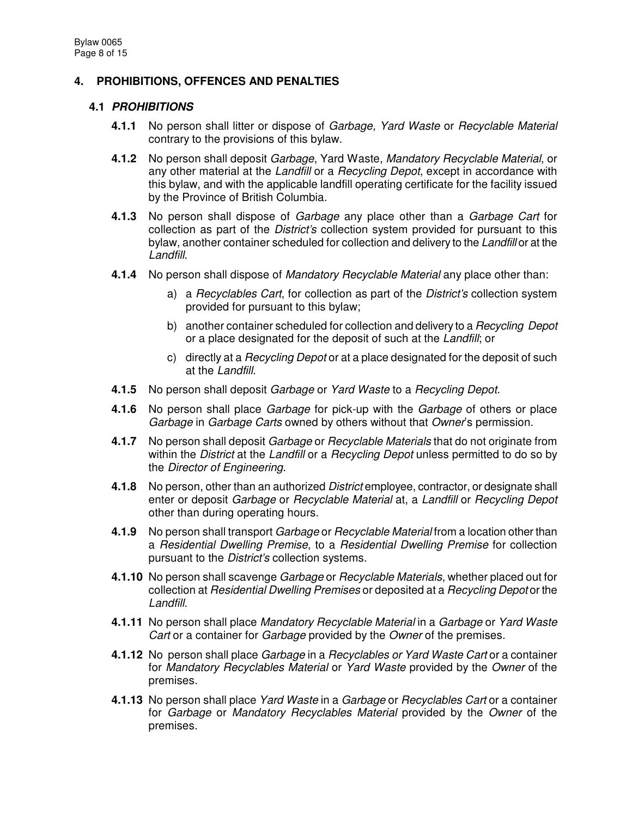# **4. PROHIBITIONS, OFFENCES AND PENALTIES**

### **4.1** *PROHIBITIONS*

- **4.1.1** No person shall litter or dispose of *Garbage, Yard Waste* or *Recyclable Material* contrary to the provisions of this bylaw.
- **4.1.2** No person shall deposit *Garbage*, Yard Waste, *Mandatory Recyclable Material*, or any other material at the *Landfill* or a *Recycling Depot*, except in accordance with this bylaw, and with the applicable landfill operating certificate for the facility issued by the Province of British Columbia.
- **4.1.3** No person shall dispose of *Garbage* any place other than a *Garbage Cart* for collection as part of the *District's* collection system provided for pursuant to this bylaw, another container scheduled for collection and delivery to the *Landfill* or at the *Landfill*.
- **4.1.4** No person shall dispose of *Mandatory Recyclable Material* any place other than:
	- a) a *Recyclables Cart*, for collection as part of the *District's* collection system provided for pursuant to this bylaw;
	- b) another container scheduled for collection and delivery to a *Recycling Depot* or a place designated for the deposit of such at the *Landfill*; or
	- c) directly at a *Recycling Depot* or at a place designated for the deposit of such at the *Landfill*.
- **4.1.5** No person shall deposit *Garbage* or *Yard Waste* to a *Recycling Depot*.
- **4.1.6** No person shall place *Garbage* for pick-up with the *Garbage* of others or place *Garbage* in *Garbage Carts* owned by others without that *Owner*'s permission.
- **4.1.7** No person shall deposit *Garbage* or *Recyclable Materials* that do not originate from within the *District* at the *Landfill* or a *Recycling Depot* unless permitted to do so by the *Director of Engineering*.
- **4.1.8** No person, other than an authorized *District* employee, contractor, or designate shall enter or deposit *Garbage* or *Recyclable Material* at, a *Landfill* or *Recycling Depot* other than during operating hours.
- **4.1.9** No person shall transport *Garbage* or *Recyclable Material* from a location other than a *Residential Dwelling Premise*, to a *Residential Dwelling Premise* for collection pursuant to the *District's* collection systems.
- **4.1.10** No person shall scavenge *Garbage* or *Recyclable Materials*, whether placed out for collection at *Residential Dwelling Premises* or deposited at a *Recycling Depot* or the *Landfill*.
- **4.1.11** No person shall place *Mandatory Recyclable Material* in a *Garbage* or *Yard Waste Cart* or a container for *Garbage* provided by the *Owner* of the premises.
- **4.1.12** No person shall place *Garbage* in a *Recyclables or Yard Waste Cart* or a container for *Mandatory Recyclables Material* or *Yard Waste* provided by the *Owner* of the premises.
- **4.1.13** No person shall place *Yard Waste* in a *Garbage* or *Recyclables Cart* or a container for *Garbage* or *Mandatory Recyclables Material* provided by the *Owner* of the premises.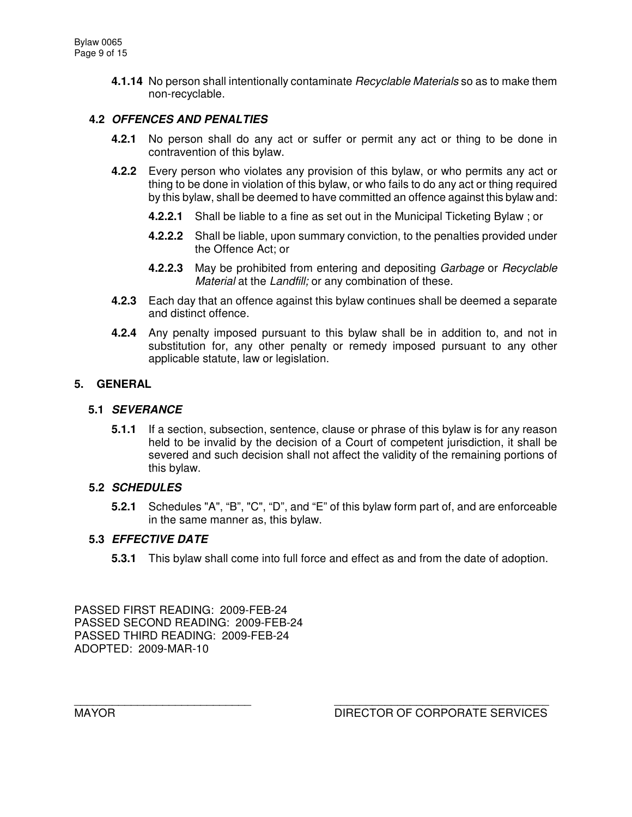**4.1.14** No person shall intentionally contaminate *Recyclable Materials* so as to make them non-recyclable.

# **4.2** *OFFENCES AND PENALTIES*

- **4.2.1** No person shall do any act or suffer or permit any act or thing to be done in contravention of this bylaw.
- **4.2.2** Every person who violates any provision of this bylaw, or who permits any act or thing to be done in violation of this bylaw, or who fails to do any act or thing required by this bylaw, shall be deemed to have committed an offence against this bylaw and:
	- **4.2.2.1** Shall be liable to a fine as set out in the Municipal Ticketing Bylaw ; or
	- **4.2.2.2** Shall be liable, upon summary conviction, to the penalties provided under the Offence Act; or
	- **4.2.2.3** May be prohibited from entering and depositing *Garbage* or *Recyclable Material* at the *Landfill;* or any combination of these.
- **4.2.3** Each day that an offence against this bylaw continues shall be deemed a separate and distinct offence.
- **4.2.4** Any penalty imposed pursuant to this bylaw shall be in addition to, and not in substitution for, any other penalty or remedy imposed pursuant to any other applicable statute, law or legislation.

#### **5. GENERAL**

#### **5.1** *SEVERANCE*

**5.1.1** If a section, subsection, sentence, clause or phrase of this bylaw is for any reason held to be invalid by the decision of a Court of competent jurisdiction, it shall be severed and such decision shall not affect the validity of the remaining portions of this bylaw.

### **5.2** *SCHEDULES*

**5.2.1** Schedules "A", "B", "C", "D", and "E" of this bylaw form part of, and are enforceable in the same manner as, this bylaw.

### **5.3** *EFFECTIVE DATE*

**5.3.1** This bylaw shall come into full force and effect as and from the date of adoption.

PASSED FIRST READING: 2009-FEB-24 PASSED SECOND READING: 2009-FEB-24 PASSED THIRD READING: 2009-FEB-24 ADOPTED: 2009-MAR-10

\_\_\_\_\_\_\_\_\_\_\_\_\_\_\_\_\_\_\_\_\_\_\_\_\_\_\_\_ \_\_\_\_\_\_\_\_\_\_\_\_\_\_\_\_\_\_\_\_\_\_\_\_\_\_\_\_\_\_\_\_\_\_ MAYOR DIRECTOR OF CORPORATE SERVICES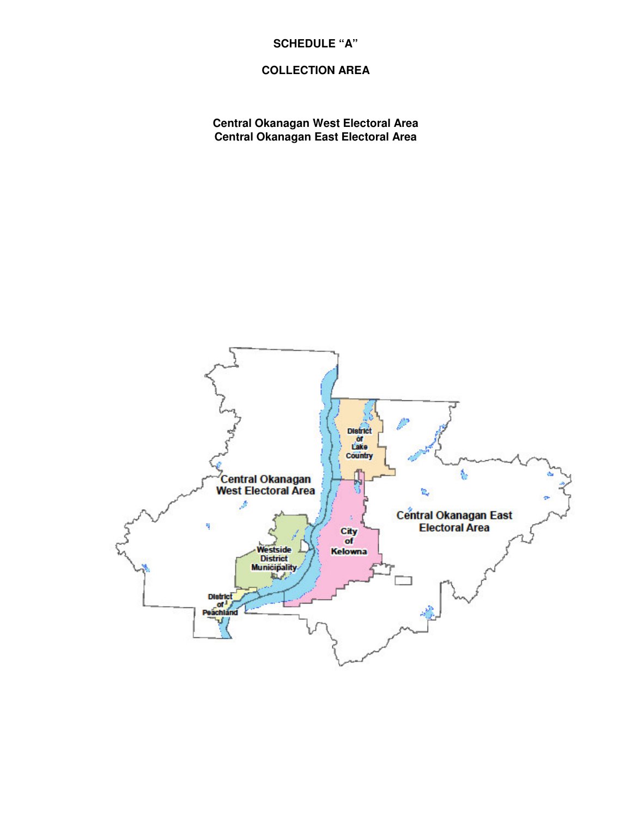# **SCHEDULE "A"**

# **COLLECTION AREA**

**Central Okanagan West Electoral Area Central Okanagan East Electoral Area**

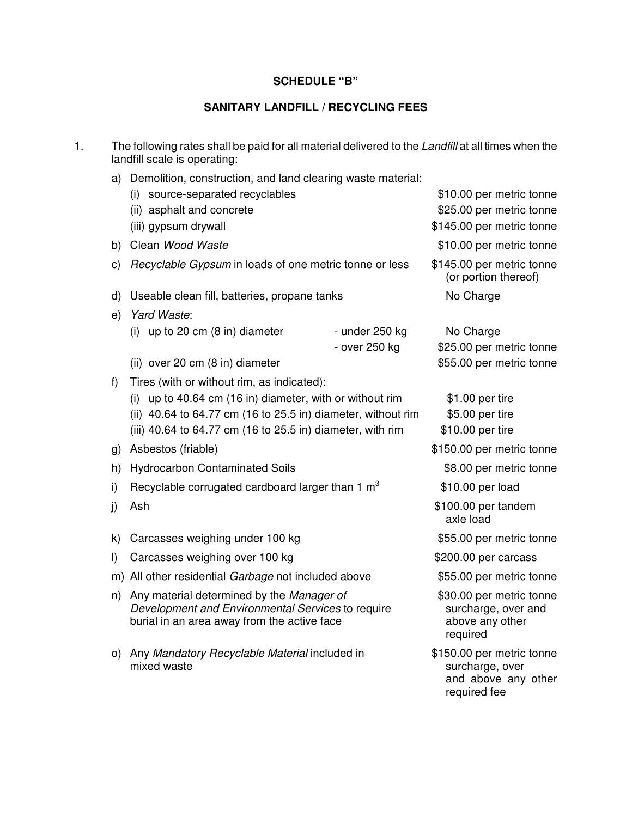### **SCHEDULE "B"**

### **SANITARY LANDFILL / RECYCLING FEES**

- 1. The following rates shall be paid for all material delivered to the *Landfill* at all times when the landfill scale is operating:
	- a) Demolition, construction, and land clearing waste material:

|         | (i)<br>source-separated recyclables                                                                                                           |                | \$10.00 per metric tonne                                                       |
|---------|-----------------------------------------------------------------------------------------------------------------------------------------------|----------------|--------------------------------------------------------------------------------|
|         | (ii) asphalt and concrete                                                                                                                     |                | \$25.00 per metric tonne                                                       |
|         | (iii) gypsum drywall                                                                                                                          |                | \$145.00 per metric tonne                                                      |
| b)      | Clean Wood Waste                                                                                                                              |                | \$10.00 per metric tonne                                                       |
| C)      | Recyclable Gypsum in loads of one metric tonne or less                                                                                        |                | \$145.00 per metric tonne<br>(or portion thereof)                              |
| d)      | Useable clean fill, batteries, propane tanks                                                                                                  |                | No Charge                                                                      |
| e)      | Yard Waste:                                                                                                                                   |                |                                                                                |
|         | up to 20 cm (8 in) diameter<br>(i)                                                                                                            | - under 250 kg | No Charge                                                                      |
|         |                                                                                                                                               | - over 250 kg  | \$25.00 per metric tonne                                                       |
|         | (ii) over 20 cm (8 in) diameter                                                                                                               |                | \$55.00 per metric tonne                                                       |
| f)      | Tires (with or without rim, as indicated):                                                                                                    |                |                                                                                |
|         | up to 40.64 cm (16 in) diameter, with or without rim<br>(i)<br>(ii) 40.64 to 64.77 cm (16 to 25.5 in) diameter, without rim                   |                | \$1.00 per tire                                                                |
|         |                                                                                                                                               |                | \$5.00 per tire                                                                |
|         | (iii) 40.64 to 64.77 cm (16 to 25.5 in) diameter, with rim                                                                                    |                | \$10.00 per tire                                                               |
| g)      | Asbestos (friable)                                                                                                                            |                | \$150.00 per metric tonne                                                      |
| h)      | <b>Hydrocarbon Contaminated Soils</b>                                                                                                         |                | \$8.00 per metric tonne                                                        |
| i)      | Recyclable corrugated cardboard larger than 1 m <sup>3</sup>                                                                                  |                | \$10.00 per load                                                               |
| j)      | Ash                                                                                                                                           |                | \$100.00 per tandem<br>axle load                                               |
| k)      | Carcasses weighing under 100 kg                                                                                                               |                | \$55.00 per metric tonne                                                       |
| $\vert$ | Carcasses weighing over 100 kg                                                                                                                |                | \$200.00 per carcass                                                           |
|         | m) All other residential Garbage not included above                                                                                           |                | \$55.00 per metric tonne                                                       |
| n)      | Any material determined by the Manager of<br>Development and Environmental Services to require<br>burial in an area away from the active face |                | \$30.00 per metric tonne<br>surcharge, over and<br>above any other<br>required |
| O)      | Any Mandatory Recyclable Material included in<br>mixed waste                                                                                  |                | \$150.00 per metric tonne<br>surcharge, over<br>and above any other            |

required fee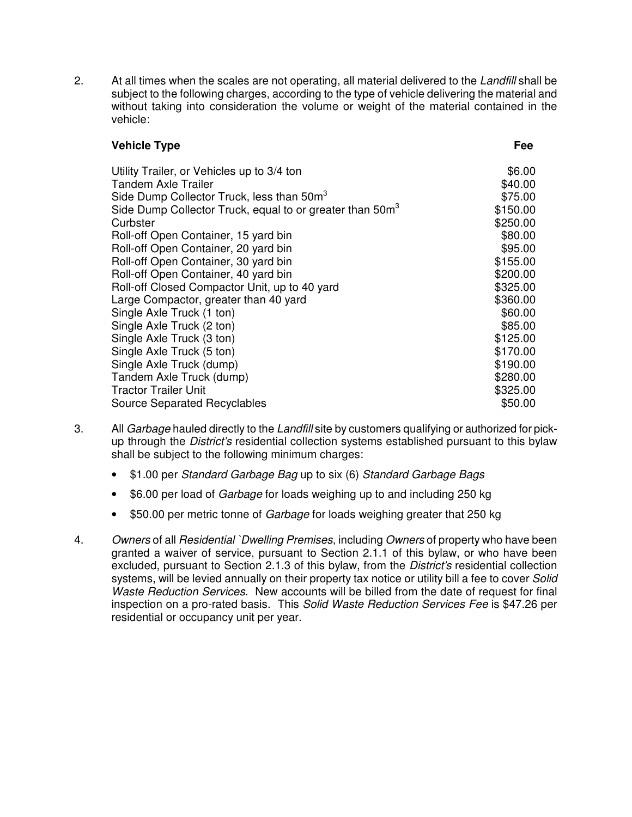2. At all times when the scales are not operating, all material delivered to the *Landfill* shall be subject to the following charges, according to the type of vehicle delivering the material and without taking into consideration the volume or weight of the material contained in the vehicle:

### **Vehicle Type Fee**

| Utility Trailer, or Vehicles up to 3/4 ton<br><b>Tandem Axle Trailer</b> | \$6.00<br>\$40.00 |
|--------------------------------------------------------------------------|-------------------|
| Side Dump Collector Truck, less than 50m <sup>3</sup>                    | \$75.00           |
| Side Dump Collector Truck, equal to or greater than 50m <sup>3</sup>     | \$150.00          |
| Curbster                                                                 | \$250.00          |
| Roll-off Open Container, 15 yard bin                                     | \$80.00           |
| Roll-off Open Container, 20 yard bin                                     | \$95.00           |
| Roll-off Open Container, 30 yard bin                                     | \$155.00          |
| Roll-off Open Container, 40 yard bin                                     | \$200.00          |
| Roll-off Closed Compactor Unit, up to 40 yard                            | \$325.00          |
| Large Compactor, greater than 40 yard                                    | \$360.00          |
| Single Axle Truck (1 ton)                                                | \$60.00           |
| Single Axle Truck (2 ton)                                                | \$85.00           |
| Single Axle Truck (3 ton)                                                | \$125.00          |
| Single Axle Truck (5 ton)                                                | \$170.00          |
| Single Axle Truck (dump)                                                 | \$190.00          |
| Tandem Axle Truck (dump)                                                 | \$280.00          |
| <b>Tractor Trailer Unit</b>                                              | \$325.00          |
| <b>Source Separated Recyclables</b>                                      | \$50.00           |

- 3. All *Garbage* hauled directly to the *Landfill* site by customers qualifying or authorized for pickup through the *District's* residential collection systems established pursuant to this bylaw shall be subject to the following minimum charges:
	- \$1.00 per *Standard Garbage Bag* up to six (6) *Standard Garbage Bags*
	- \$6.00 per load of *Garbage* for loads weighing up to and including 250 kg
	- \$50.00 per metric tonne of *Garbage* for loads weighing greater that 250 kg
- 4. *Owners* of all *Residential `Dwelling Premises*, including *Owners* of property who have been granted a waiver of service, pursuant to Section 2.1.1 of this bylaw, or who have been excluded, pursuant to Section 2.1.3 of this bylaw, from the *District's* residential collection systems, will be levied annually on their property tax notice or utility bill a fee to cover *Solid Waste Reduction Services*. New accounts will be billed from the date of request for final inspection on a pro-rated basis. This *Solid Waste Reduction Services Fee* is \$47.26 per residential or occupancy unit per year.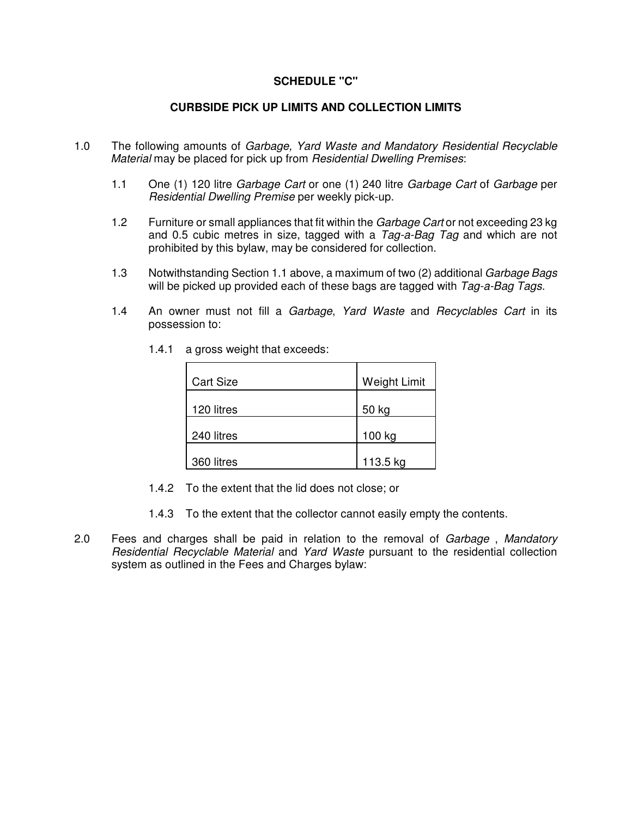#### **SCHEDULE "C"**

#### **CURBSIDE PICK UP LIMITS AND COLLECTION LIMITS**

- 1.0 The following amounts of *Garbage, Yard Waste and Mandatory Residential Recyclable Material* may be placed for pick up from *Residential Dwelling Premises*:
	- 1.1 One (1) 120 litre *Garbage Cart* or one (1) 240 litre *Garbage Cart* of *Garbage* per *Residential Dwelling Premise* per weekly pick-up.
	- 1.2 Furniture or small appliances that fit within the *Garbage Cart* or not exceeding 23 kg and 0.5 cubic metres in size, tagged with a *Tag-a-Bag Tag* and which are not prohibited by this bylaw, may be considered for collection.
	- 1.3 Notwithstanding Section 1.1 above, a maximum of two (2) additional *Garbage Bags* will be picked up provided each of these bags are tagged with *Tag-a-Bag Tags*.
	- 1.4 An owner must not fill a *Garbage*, *Yard Waste* and *Recyclables Cart* in its possession to:

| <b>Cart Size</b> | <b>Weight Limit</b> |
|------------------|---------------------|
| 120 litres       | 50 kg               |
| 240 litres       | 100 kg              |
| 360 litres       | 113.5 kg            |

1.4.1 a gross weight that exceeds:

- 1.4.2 To the extent that the lid does not close; or
- 1.4.3 To the extent that the collector cannot easily empty the contents.
- 2.0 Fees and charges shall be paid in relation to the removal of *Garbage* , *Mandatory Residential Recyclable Material* and *Yard Waste* pursuant to the residential collection system as outlined in the Fees and Charges bylaw: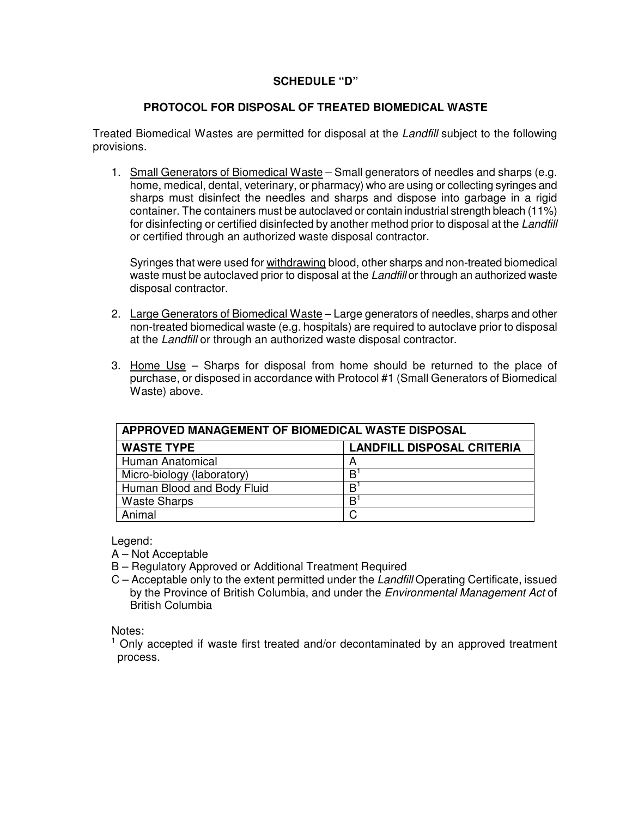#### **SCHEDULE "D"**

#### **PROTOCOL FOR DISPOSAL OF TREATED BIOMEDICAL WASTE**

Treated Biomedical Wastes are permitted for disposal at the *Landfill* subject to the following provisions.

1. Small Generators of Biomedical Waste - Small generators of needles and sharps (e.g. home, medical, dental, veterinary, or pharmacy) who are using or collecting syringes and sharps must disinfect the needles and sharps and dispose into garbage in a rigid container. The containers must be autoclaved or contain industrial strength bleach (11%) for disinfecting or certified disinfected by another method prior to disposal at the *Landfill* or certified through an authorized waste disposal contractor.

Syringes that were used for withdrawing blood, other sharps and non-treated biomedical waste must be autoclaved prior to disposal at the *Landfill* or through an authorized waste disposal contractor.

- 2. Large Generators of Biomedical Waste Large generators of needles, sharps and other non-treated biomedical waste (e.g. hospitals) are required to autoclave prior to disposal at the *Landfill* or through an authorized waste disposal contractor.
- 3. Home Use Sharps for disposal from home should be returned to the place of purchase, or disposed in accordance with Protocol #1 (Small Generators of Biomedical Waste) above.

| APPROVED MANAGEMENT OF BIOMEDICAL WASTE DISPOSAL |                                   |  |  |  |
|--------------------------------------------------|-----------------------------------|--|--|--|
| <b>WASTE TYPE</b>                                | <b>LANDFILL DISPOSAL CRITERIA</b> |  |  |  |
| Human Anatomical                                 | А                                 |  |  |  |
| Micro-biology (laboratory)                       | B                                 |  |  |  |
| Human Blood and Body Fluid                       | R                                 |  |  |  |
| <b>Waste Sharps</b>                              | R                                 |  |  |  |
| Animal                                           |                                   |  |  |  |

Legend:

- A Not Acceptable
- B Regulatory Approved or Additional Treatment Required
- C Acceptable only to the extent permitted under the *Landfill* Operating Certificate, issued by the Province of British Columbia, and under the *Environmental Management Act* of British Columbia

Notes:

 $<sup>1</sup>$  Only accepted if waste first treated and/or decontaminated by an approved treatment</sup> process.